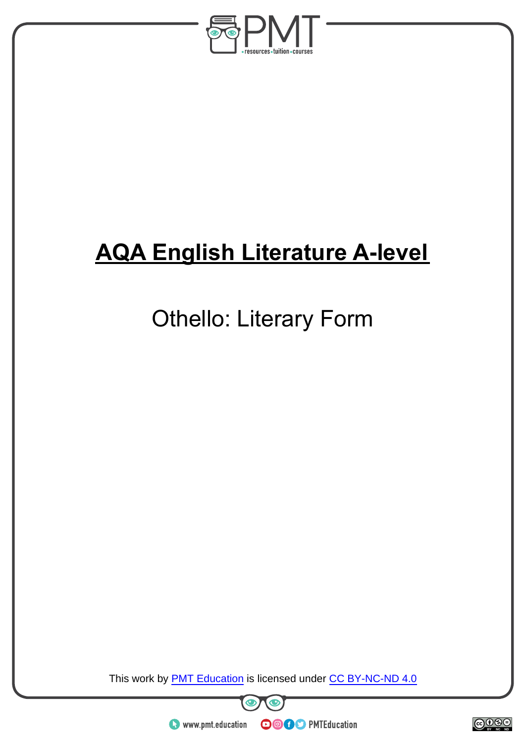

# **AQA English Literature A-level**

## Othello: Literary Form

This work by **PMT Education** is licensed under CC BY-NC-ND 4.0





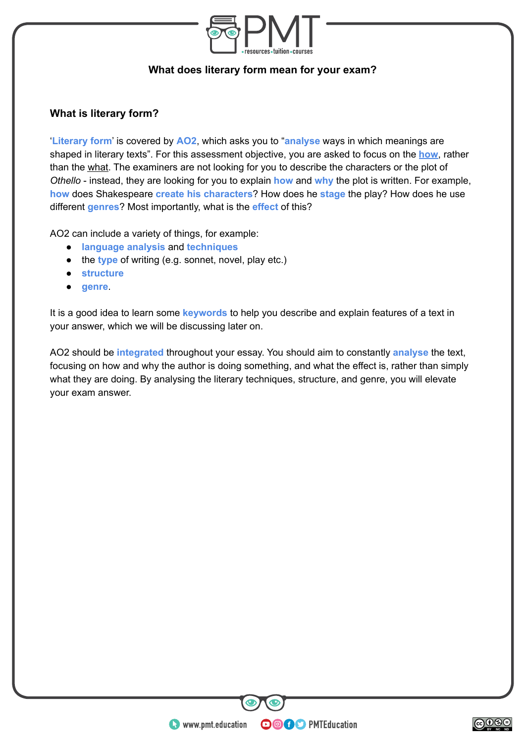

#### **What does literary form mean for your exam?**

#### **What is literary form?**

'**Literary form**' is covered by **AO2**, which asks you to "**analyse** ways in which meanings are shaped in literary texts". For this assessment objective, you are asked to focus on the **how**, rather than the what. The examiners are not looking for you to describe the characters or the plot of *Othello* - instead, they are looking for you to explain **how** and **why** the plot is written. For example, **how** does Shakespeare **create his characters**? How does he **stage** the play? How does he use different **genres**? Most importantly, what is the **effect** of this?

AO2 can include a variety of things, for example:

- **language analysis** and **techniques**
- the **type** of writing (e.g. sonnet, novel, play etc.)
- **structure**
- **genre**.

It is a good idea to learn some **keywords** to help you describe and explain features of a text in your answer, which we will be discussing later on.

AO2 should be **integrated** throughout your essay. You should aim to constantly **analyse** the text, focusing on how and why the author is doing something, and what the effect is, rather than simply what they are doing. By analysing the literary techniques, structure, and genre, you will elevate your exam answer.

 $\bullet$  www.pmt.education

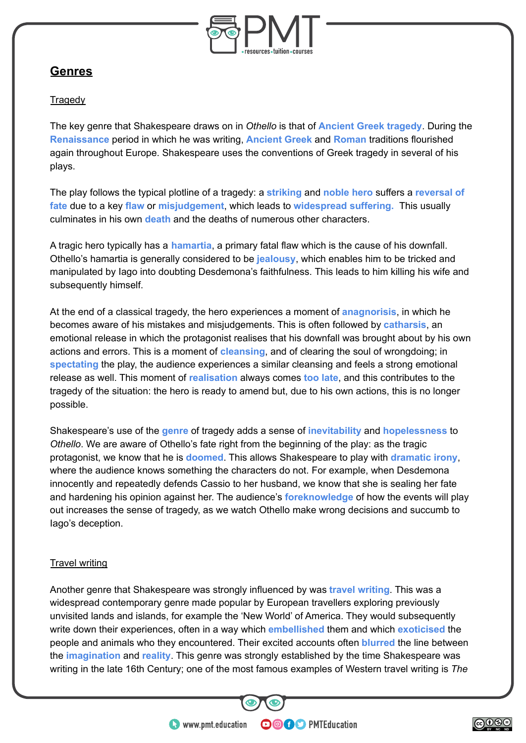

### **Genres**

#### **Tragedy**

The key genre that Shakespeare draws on in *Othello* is that of **Ancient Greek tragedy**. During the **Renaissance** period in which he was writing, **Ancient Greek** and **Roman** traditions flourished again throughout Europe. Shakespeare uses the conventions of Greek tragedy in several of his plays.

The play follows the typical plotline of a tragedy: a **striking** and **noble hero** suffers a **reversal of fate** due to a key **flaw** or **misjudgement**, which leads to **widespread suffering.** This usually culminates in his own **death** and the deaths of numerous other characters.

A tragic hero typically has a **hamartia**, a primary fatal flaw which is the cause of his downfall. Othello's hamartia is generally considered to be **jealousy**, which enables him to be tricked and manipulated by Iago into doubting Desdemona's faithfulness. This leads to him killing his wife and subsequently himself.

At the end of a classical tragedy, the hero experiences a moment of **anagnorisis**, in which he becomes aware of his mistakes and misjudgements. This is often followed by **catharsis**, an emotional release in which the protagonist realises that his downfall was brought about by his own actions and errors. This is a moment of **cleansing**, and of clearing the soul of wrongdoing; in **spectating** the play, the audience experiences a similar cleansing and feels a strong emotional release as well. This moment of **realisation** always comes **too late**, and this contributes to the tragedy of the situation: the hero is ready to amend but, due to his own actions, this is no longer possible.

Shakespeare's use of the **genre** of tragedy adds a sense of **inevitability** and **hopelessness** to *Othello*. We are aware of Othello's fate right from the beginning of the play: as the tragic protagonist, we know that he is **doomed**. This allows Shakespeare to play with **dramatic irony**, where the audience knows something the characters do not. For example, when Desdemona innocently and repeatedly defends Cassio to her husband, we know that she is sealing her fate and hardening his opinion against her. The audience's **foreknowledge** of how the events will play out increases the sense of tragedy, as we watch Othello make wrong decisions and succumb to Iago's deception.

#### Travel writing

Another genre that Shakespeare was strongly influenced by was **travel writing**. This was a widespread contemporary genre made popular by European travellers exploring previously unvisited lands and islands, for example the 'New World' of America. They would subsequently write down their experiences, often in a way which **embellished** them and which **exoticised** the people and animals who they encountered. Their excited accounts often **blurred** the line between the **imagination** and **reality**. This genre was strongly established by the time Shakespeare was writing in the late 16th Century; one of the most famous examples of Western travel writing is *The*

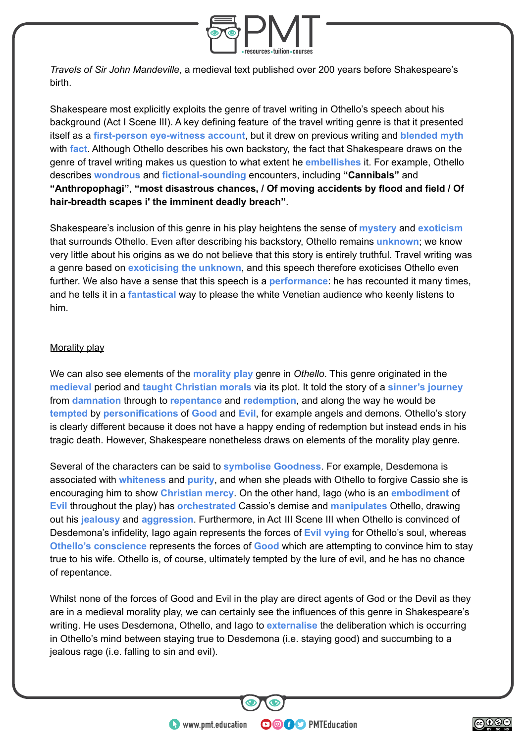

*Travels of Sir John Mandeville*, a medieval text published over 200 years before Shakespeare's birth.

Shakespeare most explicitly exploits the genre of travel writing in Othello's speech about his background (Act I Scene III). A key defining feature of the travel writing genre is that it presented itself as a **first-person eye-witness account**, but it drew on previous writing and **blended myth** with **fact**. Although Othello describes his own backstory, the fact that Shakespeare draws on the genre of travel writing makes us question to what extent he **embellishes** it. For example, Othello describes **wondrous** and **fictional-sounding** encounters, including **"Cannibals"** and **"Anthropophagi"**, **"most disastrous chances, / Of moving accidents by flood and field / Of hair-breadth scapes i' the imminent deadly breach"**.

Shakespeare's inclusion of this genre in his play heightens the sense of **mystery** and **exoticism** that surrounds Othello. Even after describing his backstory, Othello remains **unknown**; we know very little about his origins as we do not believe that this story is entirely truthful. Travel writing was a genre based on **exoticising the unknown**, and this speech therefore exoticises Othello even further. We also have a sense that this speech is a **performance**: he has recounted it many times, and he tells it in a **fantastical** way to please the white Venetian audience who keenly listens to him.

#### Morality play

We can also see elements of the **morality play** genre in *Othello*. This genre originated in the **medieval** period and **taught Christian morals** via its plot. It told the story of a **sinner's journey** from **damnation** through to **repentance** and **redemption**, and along the way he would be **tempted** by **personifications** of **Good** and **Evil**, for example angels and demons. Othello's story is clearly different because it does not have a happy ending of redemption but instead ends in his tragic death. However, Shakespeare nonetheless draws on elements of the morality play genre.

Several of the characters can be said to **symbolise Goodness**. For example, Desdemona is associated with **whiteness** and **purity**, and when she pleads with Othello to forgive Cassio she is encouraging him to show **Christian mercy**. On the other hand, Iago (who is an **embodiment** of **Evil** throughout the play) has **orchestrated** Cassio's demise and **manipulates** Othello, drawing out his **jealousy** and **aggression**. Furthermore, in Act III Scene III when Othello is convinced of Desdemona's infidelity, Iago again represents the forces of **Evil vying** for Othello's soul, whereas **Othello's conscience** represents the forces of **Good** which are attempting to convince him to stay true to his wife. Othello is, of course, ultimately tempted by the lure of evil, and he has no chance of repentance.

Whilst none of the forces of Good and Evil in the play are direct agents of God or the Devil as they are in a medieval morality play, we can certainly see the influences of this genre in Shakespeare's writing. He uses Desdemona, Othello, and Iago to **externalise** the deliberation which is occurring in Othello's mind between staying true to Desdemona (i.e. staying good) and succumbing to a jealous rage (i.e. falling to sin and evil).

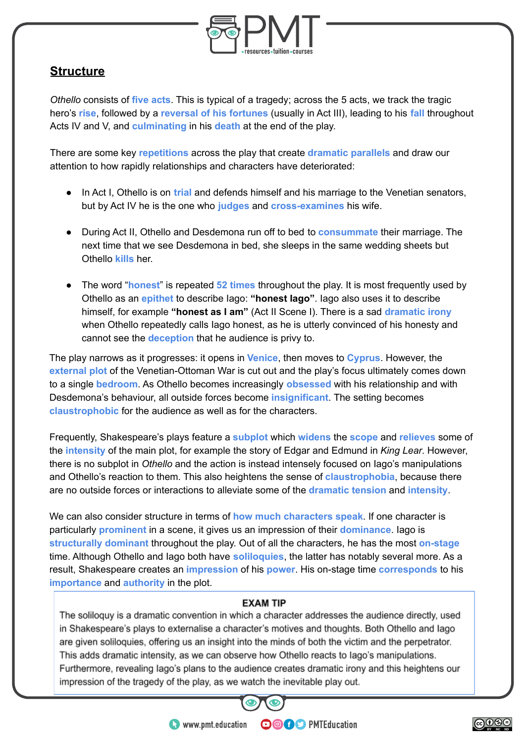

## **Structure**

*Othello* consists of **five acts**. This is typical of a tragedy; across the 5 acts, we track the tragic hero's **rise**, followed by a **reversal of his fortunes** (usually in Act III), leading to his **fall** throughout Acts IV and V, and **culminating** in his **death** at the end of the play.

There are some key **repetitions** across the play that create **dramatic parallels** and draw our attention to how rapidly relationships and characters have deteriorated:

- In Act I, Othello is on **trial** and defends himself and his marriage to the Venetian senators, but by Act IV he is the one who **judges** and **cross-examines** his wife.
- During Act II, Othello and Desdemona run off to bed to **consummate** their marriage. The next time that we see Desdemona in bed, she sleeps in the same wedding sheets but Othello **kills** her.
- The word "**honest**" is repeated **52 times** throughout the play. It is most frequently used by Othello as an **epithet** to describe Iago: **"honest Iago"**. Iago also uses it to describe himself, for example **"honest as I am"** (Act II Scene I). There is a sad **dramatic irony** when Othello repeatedly calls Iago honest, as he is utterly convinced of his honesty and cannot see the **deception** that he audience is privy to.

The play narrows as it progresses: it opens in **Venice**, then moves to **Cyprus**. However, the **external plot** of the Venetian-Ottoman War is cut out and the play's focus ultimately comes down to a single **bedroom**. As Othello becomes increasingly **obsessed** with his relationship and with Desdemona's behaviour, all outside forces become **insignificant**. The setting becomes **claustrophobic** for the audience as well as for the characters.

Frequently, Shakespeare's plays feature a **subplot** which **widens** the **scope** and **relieves** some of the **intensity** of the main plot, for example the story of Edgar and Edmund in *King Lear*. However, there is no subplot in *Othello* and the action is instead intensely focused on Iago's manipulations and Othello's reaction to them. This also heightens the sense of **claustrophobia**, because there are no outside forces or interactions to alleviate some of the **dramatic tension** and **intensity**.

We can also consider structure in terms of **how much characters speak**. If one character is particularly **prominent** in a scene, it gives us an impression of their **dominance**. Iago is **structurally dominant** throughout the play. Out of all the characters, he has the most **on-stage** time. Although Othello and Iago both have **soliloquies**, the latter has notably several more. As a result, Shakespeare creates an **impression** of his **power**. His on-stage time **corresponds** to his **importance** and **authority** in the plot.

#### **EXAM TIP**

The soliloguy is a dramatic convention in which a character addresses the audience directly, used in Shakespeare's plays to externalise a character's motives and thoughts. Both Othello and lago are given soliloquies, offering us an insight into the minds of both the victim and the perpetrator. This adds dramatic intensity, as we can observe how Othello reacts to lago's manipulations. Furthermore, revealing lago's plans to the audience creates dramatic irony and this heightens our impression of the tragedy of the play, as we watch the inevitable play out.



**OOOO** PMTEducation

 $\bullet$  www.pmt.education

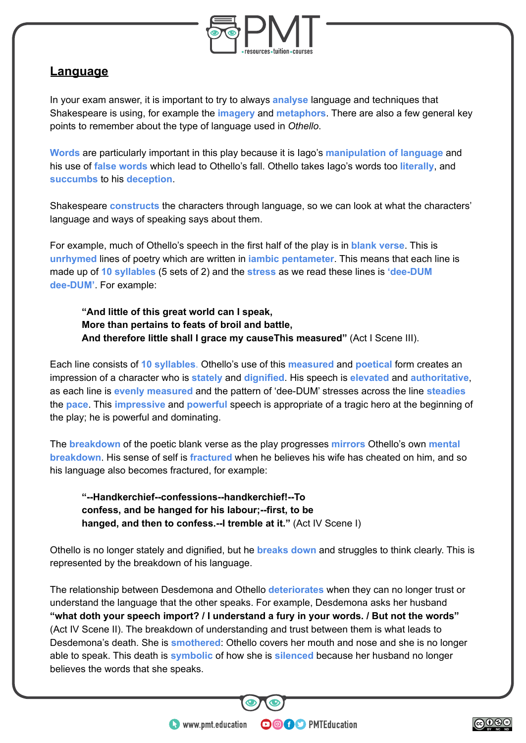

## **Language**

In your exam answer, it is important to try to always **analyse** language and techniques that Shakespeare is using, for example the **imagery** and **metaphors**. There are also a few general key points to remember about the type of language used in *Othello*.

**Words** are particularly important in this play because it is Iago's **manipulation of language** and his use of **false words** which lead to Othello's fall. Othello takes Iago's words too **literally**, and **succumbs** to his **deception**.

Shakespeare **constructs** the characters through language, so we can look at what the characters' language and ways of speaking says about them.

For example, much of Othello's speech in the first half of the play is in **blank verse**. This is **unrhymed** lines of poetry which are written in **iambic pentameter**. This means that each line is made up of **10 syllables** (5 sets of 2) and the **stress** as we read these lines is **'dee-DUM dee-DUM'**. For example:

**"And little of this great world can I speak, More than pertains to feats of broil and battle, And therefore little shall I grace my causeThis measured"** (Act I Scene III).

Each line consists of **10 syllables**. Othello's use of this **measured** and **poetical** form creates an impression of a character who is **stately** and **dignified**. His speech is **elevated** and **authoritative**, as each line is **evenly measured** and the pattern of 'dee-DUM' stresses across the line **steadies** the **pace**. This **impressive** and **powerful** speech is appropriate of a tragic hero at the beginning of the play; he is powerful and dominating.

The **breakdown** of the poetic blank verse as the play progresses **mirrors** Othello's own **mental breakdown**. His sense of self is **fractured** when he believes his wife has cheated on him, and so his language also becomes fractured, for example:

**"--Handkerchief--confessions--handkerchief!--To confess, and be hanged for his labour;--first, to be hanged, and then to confess.--I tremble at it."** (Act IV Scene I)

Othello is no longer stately and dignified, but he **breaks down** and struggles to think clearly. This is represented by the breakdown of his language.

The relationship between Desdemona and Othello **deteriorates** when they can no longer trust or understand the language that the other speaks. For example, Desdemona asks her husband **"what doth your speech import? / I understand a fury in your words. / But not the words"** (Act IV Scene II). The breakdown of understanding and trust between them is what leads to Desdemona's death. She is **smothered**: Othello covers her mouth and nose and she is no longer able to speak. This death is **symbolic** of how she is **silenced** because her husband no longer believes the words that she speaks.

**OOOO** PMTEducation

 $\bullet$  www.pmt.education